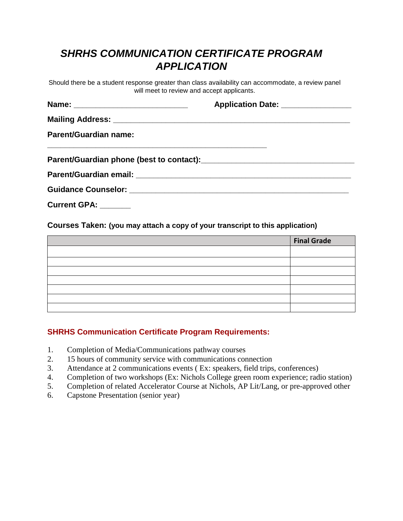## *SHRHS COMMUNICATION CERTIFICATE PROGRAM APPLICATION*

Should there be a student response greater than class availability can accommodate, a review panel will meet to review and accept applicants.

|                              | Application Date: ________________ |
|------------------------------|------------------------------------|
|                              |                                    |
| <b>Parent/Guardian name:</b> |                                    |
|                              |                                    |
|                              |                                    |
|                              |                                    |

**Current GPA: \_\_\_\_\_\_\_** 

**Courses Taken: (you may attach a copy of your transcript to this application)**

| <b>Final Grade</b> |
|--------------------|
|                    |
|                    |
|                    |
|                    |
|                    |
|                    |
|                    |

## **SHRHS Communication Certificate Program Requirements:**

- 1. Completion of Media/Communications pathway courses
- 2. 15 hours of community service with communications connection
- 3. Attendance at 2 communications events ( Ex: speakers, field trips, conferences)
- 4. Completion of two workshops (Ex: Nichols College green room experience; radio station)
- 5. Completion of related Accelerator Course at Nichols, AP Lit/Lang, or pre-approved other
- 6. Capstone Presentation (senior year)